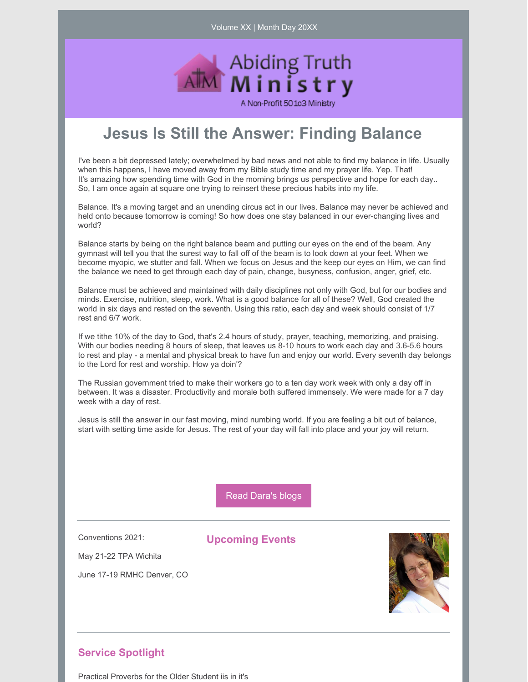Volume XX | Month Day 20XX



## **Jesus Is Still the Answer: Finding Balance**

I've been a bit depressed lately; overwhelmed by bad news and not able to find my balance in life. Usually when this happens, I have moved away from my Bible study time and my prayer life. Yep. That! It's amazing how spending time with God in the morning brings us perspective and hope for each day.. So, I am once again at square one trying to reinsert these precious habits into my life.

Balance. It's a moving target and an unending circus act in our lives. Balance may never be achieved and held onto because tomorrow is coming! So how does one stay balanced in our ever-changing lives and world?

Balance starts by being on the right balance beam and putting our eyes on the end of the beam. Any gymnast will tell you that the surest way to fall off of the beam is to look down at your feet. When we become myopic, we stutter and fall. When we focus on Jesus and the keep our eyes on Him, we can find the balance we need to get through each day of pain, change, busyness, confusion, anger, grief, etc.

Balance must be achieved and maintained with daily disciplines not only with God, but for our bodies and minds. Exercise, nutrition, sleep, work. What is a good balance for all of these? Well, God created the world in six days and rested on the seventh. Using this ratio, each day and week should consist of 1/7 rest and 6/7 work.

If we tithe 10% of the day to God, that's 2.4 hours of study, prayer, teaching, memorizing, and praising. With our bodies needing 8 hours of sleep, that leaves us 8-10 hours to work each day and 3.6-5.6 hours to rest and play - a mental and physical break to have fun and enjoy our world. Every seventh day belongs to the Lord for rest and worship. How ya doin'?

The Russian government tried to make their workers go to a ten day work week with only a day off in between. It was a disaster. Productivity and morale both suffered immensely. We were made for a 7 day week with a day of rest.

Jesus is still the answer in our fast moving, mind numbing world. If you are feeling a bit out of balance, start with setting time aside for Jesus. The rest of your day will fall into place and your joy will return.

Read [Dara's](https://www.abidingtruthministry.com/blog/) blogs

Conventions 2021:

**Upcoming Events**

May 21-22 TPA Wichita

June 17-19 RMHC Denver, CO



## **Service Spotlight**

Practical Proverbs for the Older Student iis in it's